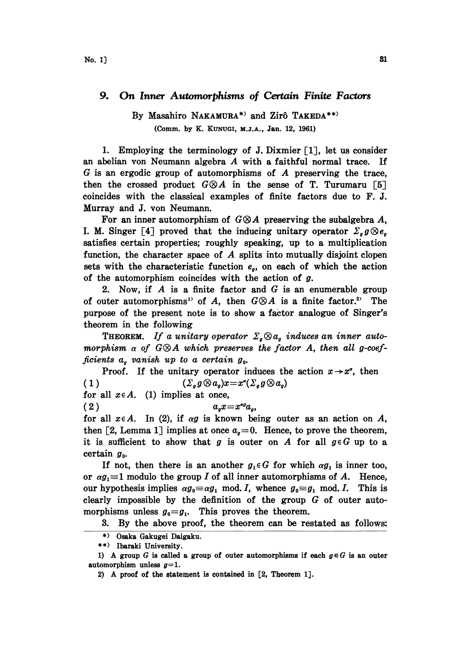## 9. On Inner Automorphisms of Certain Finite Factors

## By Masahiro NAKAMURA\*<sup>3</sup> and Zirô TAKEDA\*\*<sup>3</sup> (Comm. by K. KUNUGI, M.J.A., Jan. 12, 1961)

1. Employing the terminology of J. Dixmier [1], let us consider an abelian yon Neumann algebra A with <sup>a</sup> faithful normal trace. If  $G$  is an ergodic group of automorphisms of  $A$  preserving the trace, then the crossed product  $G \otimes A$  in the sense of T. Turumaru [5] coincides with the classical examples of finite factors due to F. J. Murray and J. von Neumann.

For an inner automorphism of  $G\otimes A$  preserving the subalgebra A, I. M. Singer [4] proved that the inducing unitary operator  $\Sigma_g g \otimes e_g$ satisfies certain properties; roughly speaking, up to a multiplication function, the character space of  $A$  splits into mutually disjoint clopen sets with the characteristic function  $e_{q}$ , on each of which the action of the automorphism coincides with the action of  $g$ .

2. Now, if  $A$  is a finite factor and  $G$  is an enumerable group of outer automorphisms<sup>1)</sup> of A, then  $G \otimes A$  is a finite factor.<sup>2)</sup> The of outer automorphisms<sup>1</sup> of A, then  $G \otimes A$  is a finite factor.<sup>2</sup> The purpose of the present note is to show a factor analogue of Singer's theorem in the following

**THEOREM.** If a unitary operator  $\Sigma_q \otimes a_q$  induces an inner automorphism  $\alpha$  of G $\otimes$ A which preserves the factor A, then all g-coefficients  $a_q$  vanish up to a certain  $g_q$ .

Proof. If the unitary operator induces the action  $x \rightarrow x^x$ , then  $(\Sigma_g g \otimes a_g)x = x^a(\Sigma_g g \otimes a_g)$  $(1)$ 

for all  $x \in A$ . (1) implies at once,

 $(2)$  $a_q x = x^{\alpha q} a_q,$ 

for all  $x \in A$ . In (2), if  $\alpha g$  is known being outer as an action on A, then [2, Lemma 1] implies at once  $a_{q}=0$ . Hence, to prove the theorem, it is sufficient to show that g is outer on A for all  $g \in G$  up to a certain  $g_0$ .

If not, then there is an another  $g_1 \in G$  for which  $\alpha g_1$  is inner too, or  $\alpha g_i = 1$  modulo the group I of all inner automorphisms of A. Hence, our hypothesis implies  $\alpha g_0 \equiv \alpha g_1 \mod I$ , whence  $g_0 \equiv g_1 \mod I$ . This is clearly impossible by the definition of the group  $G$  of outer automorphisms unless  $g_0 = g_1$ . This proves the theorem.

3. By the above proof, the theorem can be restated as follows:

2) A proof of the statement is contained in [2, Theorem 1].

<sup>\*)</sup> Osaka Gakugei Daigaku.

<sup>\*\*)</sup> Ibaraki University.

<sup>1)</sup> A group G is called a group of outer automorphisms if each  $g \in G$  is an outer automorphism unless  $g=1$ .